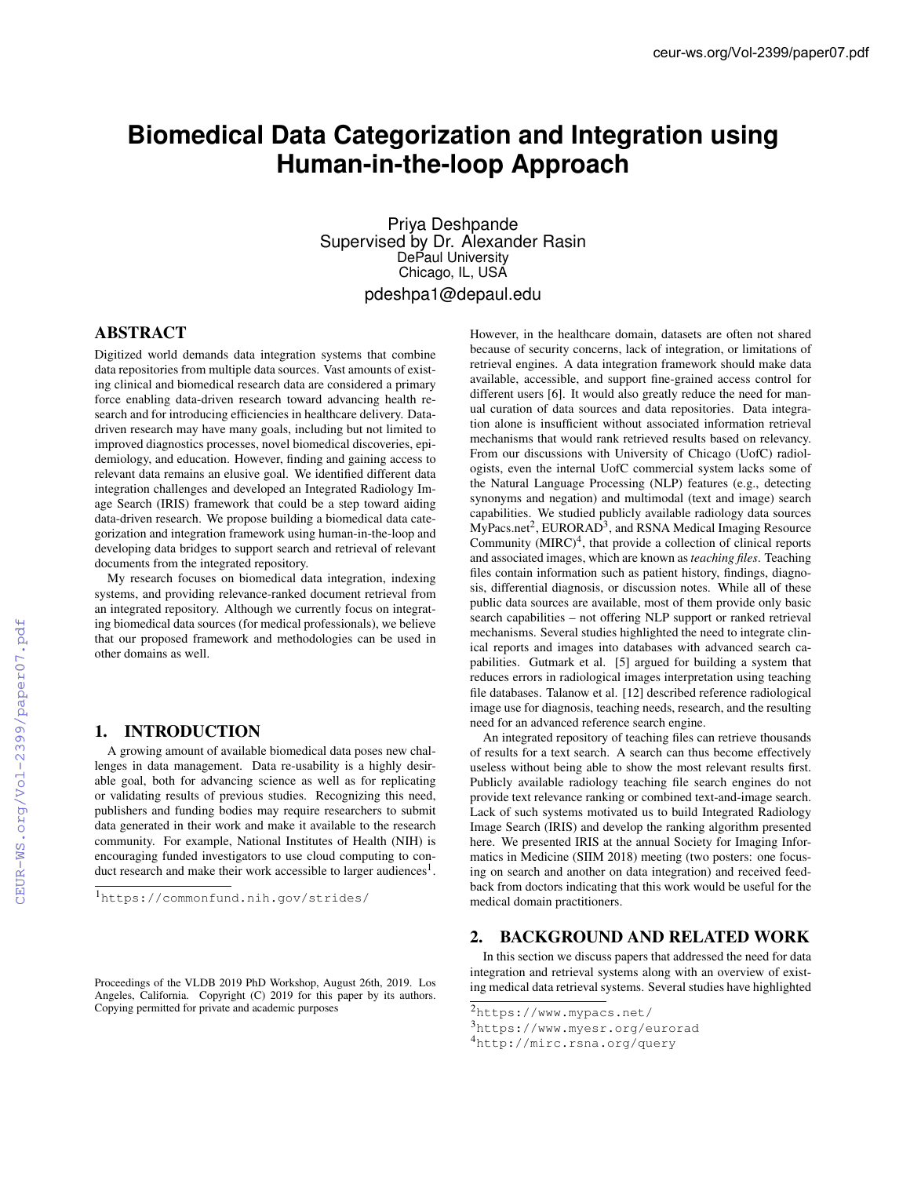# **Biomedical Data Categorization and Integration using Human-in-the-loop Approach**

Priya Deshpande Supervised by Dr. Alexander Rasin DePaul University Chicago, IL, USA pdeshpa1@depaul.edu

## ABSTRACT

Digitized world demands data integration systems that combine data repositories from multiple data sources. Vast amounts of existing clinical and biomedical research data are considered a primary force enabling data-driven research toward advancing health research and for introducing efficiencies in healthcare delivery. Datadriven research may have many goals, including but not limited to improved diagnostics processes, novel biomedical discoveries, epidemiology, and education. However, finding and gaining access to relevant data remains an elusive goal. We identified different data integration challenges and developed an Integrated Radiology Image Search (IRIS) framework that could be a step toward aiding data-driven research. We propose building a biomedical data categorization and integration framework using human-in-the-loop and developing data bridges to support search and retrieval of relevant documents from the integrated repository.

My research focuses on biomedical data integration, indexing systems, and providing relevance-ranked document retrieval from an integrated repository. Although we currently focus on integrating biomedical data sources (for medical professionals), we believe that our proposed framework and methodologies can be used in other domains as well.

## 1. INTRODUCTION

A growing amount of available biomedical data poses new challenges in data management. Data re-usability is a highly desirable goal, both for advancing science as well as for replicating or validating results of previous studies. Recognizing this need, publishers and funding bodies may require researchers to submit data generated in their work and make it available to the research community. For example, National Institutes of Health (NIH) is encouraging funded investigators to use cloud computing to conduct research and make their work accessible to larger audiences<sup>1</sup>.

However, in the healthcare domain, datasets are often not shared because of security concerns, lack of integration, or limitations of retrieval engines. A data integration framework should make data available, accessible, and support fine-grained access control for different users [6]. It would also greatly reduce the need for manual curation of data sources and data repositories. Data integration alone is insufficient without associated information retrieval mechanisms that would rank retrieved results based on relevancy. From our discussions with University of Chicago (UofC) radiologists, even the internal UofC commercial system lacks some of the Natural Language Processing (NLP) features (e.g., detecting synonyms and negation) and multimodal (text and image) search capabilities. We studied publicly available radiology data sources  $MyPacs.net<sup>2</sup>$ , EURORAD<sup>3</sup>, and RSNA Medical Imaging Resource Community  $(MIRC)^4$ , that provide a collection of clinical reports and associated images, which are known as *teaching files*. Teaching files contain information such as patient history, findings, diagnosis, differential diagnosis, or discussion notes. While all of these public data sources are available, most of them provide only basic search capabilities – not offering NLP support or ranked retrieval mechanisms. Several studies highlighted the need to integrate clinical reports and images into databases with advanced search capabilities. Gutmark et al. [5] argued for building a system that reduces errors in radiological images interpretation using teaching file databases. Talanow et al. [12] described reference radiological image use for diagnosis, teaching needs, research, and the resulting need for an advanced reference search engine.

An integrated repository of teaching files can retrieve thousands of results for a text search. A search can thus become effectively useless without being able to show the most relevant results first. Publicly available radiology teaching file search engines do not provide text relevance ranking or combined text-and-image search. Lack of such systems motivated us to build Integrated Radiology Image Search (IRIS) and develop the ranking algorithm presented here. We presented IRIS at the annual Society for Imaging Informatics in Medicine (SIIM 2018) meeting (two posters: one focusing on search and another on data integration) and received feedback from doctors indicating that this work would be useful for the medical domain practitioners.

#### 2. BACKGROUND AND RELATED WORK

In this section we discuss papers that addressed the need for data integration and retrieval systems along with an overview of existing medical data retrieval systems. Several studies have highlighted

<sup>1</sup>https://commonfund.nih.gov/strides/

Proceedings of the VLDB 2019 PhD Workshop, August 26th, 2019. Los Angeles, California. Copyright (C) 2019 for this paper by its authors. Copying permitted for private and academic purposes

<sup>2</sup>https://www.mypacs.net/

<sup>3</sup>https://www.myesr.org/eurorad

<sup>4</sup>http://mirc.rsna.org/query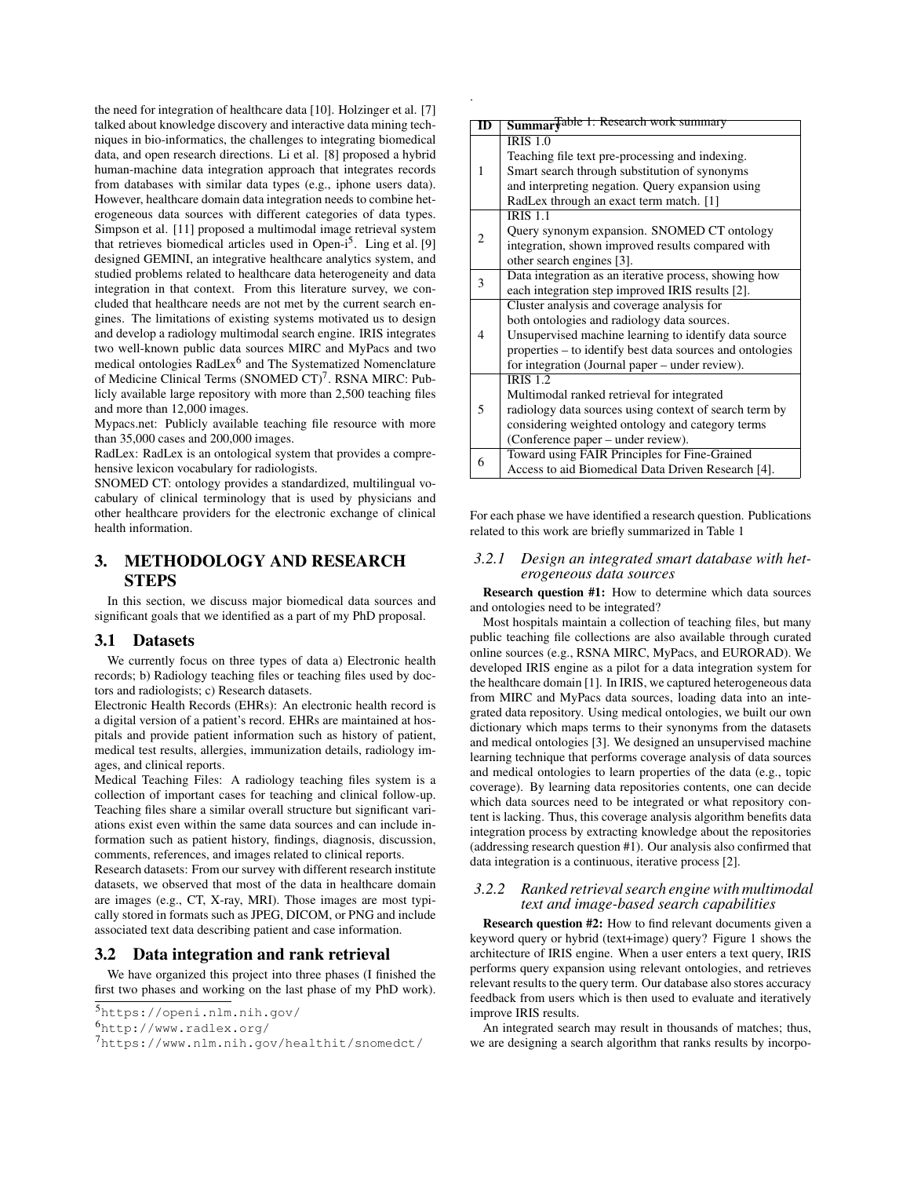the need for integration of healthcare data [10]. Holzinger et al. [7] talked about knowledge discovery and interactive data mining techniques in bio-informatics, the challenges to integrating biomedical data, and open research directions. Li et al. [8] proposed a hybrid human-machine data integration approach that integrates records from databases with similar data types (e.g., iphone users data). However, healthcare domain data integration needs to combine heterogeneous data sources with different categories of data types. Simpson et al. [11] proposed a multimodal image retrieval system that retrieves biomedical articles used in Open- $i^5$ . Ling et al. [9] designed GEMINI, an integrative healthcare analytics system, and studied problems related to healthcare data heterogeneity and data integration in that context. From this literature survey, we concluded that healthcare needs are not met by the current search engines. The limitations of existing systems motivated us to design and develop a radiology multimodal search engine. IRIS integrates two well-known public data sources MIRC and MyPacs and two medical ontologies RadLex<sup>6</sup> and The Systematized Nomenclature of Medicine Clinical Terms (SNOMED CT)<sup>7</sup>. RSNA MIRC: Publicly available large repository with more than 2,500 teaching files and more than 12,000 images.

Mypacs.net: Publicly available teaching file resource with more than 35,000 cases and 200,000 images.

RadLex: RadLex is an ontological system that provides a comprehensive lexicon vocabulary for radiologists.

SNOMED CT: ontology provides a standardized, multilingual vocabulary of clinical terminology that is used by physicians and other healthcare providers for the electronic exchange of clinical health information.

## 3. METHODOLOGY AND RESEARCH **STEPS**

In this section, we discuss major biomedical data sources and significant goals that we identified as a part of my PhD proposal.

#### 3.1 Datasets

We currently focus on three types of data a) Electronic health records; b) Radiology teaching files or teaching files used by doctors and radiologists; c) Research datasets.

Electronic Health Records (EHRs): An electronic health record is a digital version of a patient's record. EHRs are maintained at hospitals and provide patient information such as history of patient, medical test results, allergies, immunization details, radiology images, and clinical reports.

Medical Teaching Files: A radiology teaching files system is a collection of important cases for teaching and clinical follow-up. Teaching files share a similar overall structure but significant variations exist even within the same data sources and can include information such as patient history, findings, diagnosis, discussion, comments, references, and images related to clinical reports.

Research datasets: From our survey with different research institute datasets, we observed that most of the data in healthcare domain are images (e.g., CT, X-ray, MRI). Those images are most typically stored in formats such as JPEG, DICOM, or PNG and include associated text data describing patient and case information.

#### 3.2 Data integration and rank retrieval

We have organized this project into three phases (I finished the first two phases and working on the last phase of my PhD work).

```
5https://openi.nlm.nih.gov/
```
<sup>6</sup>http://www.radlex.org/

| ID | Summar Fable 1: Research work summary                     |
|----|-----------------------------------------------------------|
| 1  | $\overline{IRIS}$ 1.0                                     |
|    | Teaching file text pre-processing and indexing.           |
|    | Smart search through substitution of synonyms             |
|    | and interpreting negation. Query expansion using          |
|    | RadLex through an exact term match. [1]                   |
| 2  | <b>IRIS 1.1</b>                                           |
|    | Query synonym expansion. SNOMED CT ontology               |
|    | integration, shown improved results compared with         |
|    | other search engines [3].                                 |
| 3  | Data integration as an iterative process, showing how     |
|    | each integration step improved IRIS results [2].          |
| 4  | Cluster analysis and coverage analysis for                |
|    | both ontologies and radiology data sources.               |
|    | Unsupervised machine learning to identify data source     |
|    | properties – to identify best data sources and ontologies |
|    | for integration (Journal paper – under review).           |
| 5  | $IRIS$ 1.2                                                |
|    | Multimodal ranked retrieval for integrated                |
|    | radiology data sources using context of search term by    |
|    | considering weighted ontology and category terms          |
|    | (Conference paper – under review).                        |
| 6  | Toward using FAIR Principles for Fine-Grained             |
|    | Access to aid Biomedical Data Driven Research [4].        |

.

For each phase we have identified a research question. Publications related to this work are briefly summarized in Table 1

#### *3.2.1 Design an integrated smart database with heterogeneous data sources*

Research question #1: How to determine which data sources and ontologies need to be integrated?

Most hospitals maintain a collection of teaching files, but many public teaching file collections are also available through curated online sources (e.g., RSNA MIRC, MyPacs, and EURORAD). We developed IRIS engine as a pilot for a data integration system for the healthcare domain [1]. In IRIS, we captured heterogeneous data from MIRC and MyPacs data sources, loading data into an integrated data repository. Using medical ontologies, we built our own dictionary which maps terms to their synonyms from the datasets and medical ontologies [3]. We designed an unsupervised machine learning technique that performs coverage analysis of data sources and medical ontologies to learn properties of the data (e.g., topic coverage). By learning data repositories contents, one can decide which data sources need to be integrated or what repository content is lacking. Thus, this coverage analysis algorithm benefits data integration process by extracting knowledge about the repositories (addressing research question #1). Our analysis also confirmed that data integration is a continuous, iterative process [2].

### *3.2.2 Ranked retrieval search engine with multimodal text and image-based search capabilities*

Research question #2: How to find relevant documents given a keyword query or hybrid (text+image) query? Figure 1 shows the architecture of IRIS engine. When a user enters a text query, IRIS performs query expansion using relevant ontologies, and retrieves relevant results to the query term. Our database also stores accuracy feedback from users which is then used to evaluate and iteratively improve IRIS results.

An integrated search may result in thousands of matches; thus, we are designing a search algorithm that ranks results by incorpo-

<sup>7</sup>https://www.nlm.nih.gov/healthit/snomedct/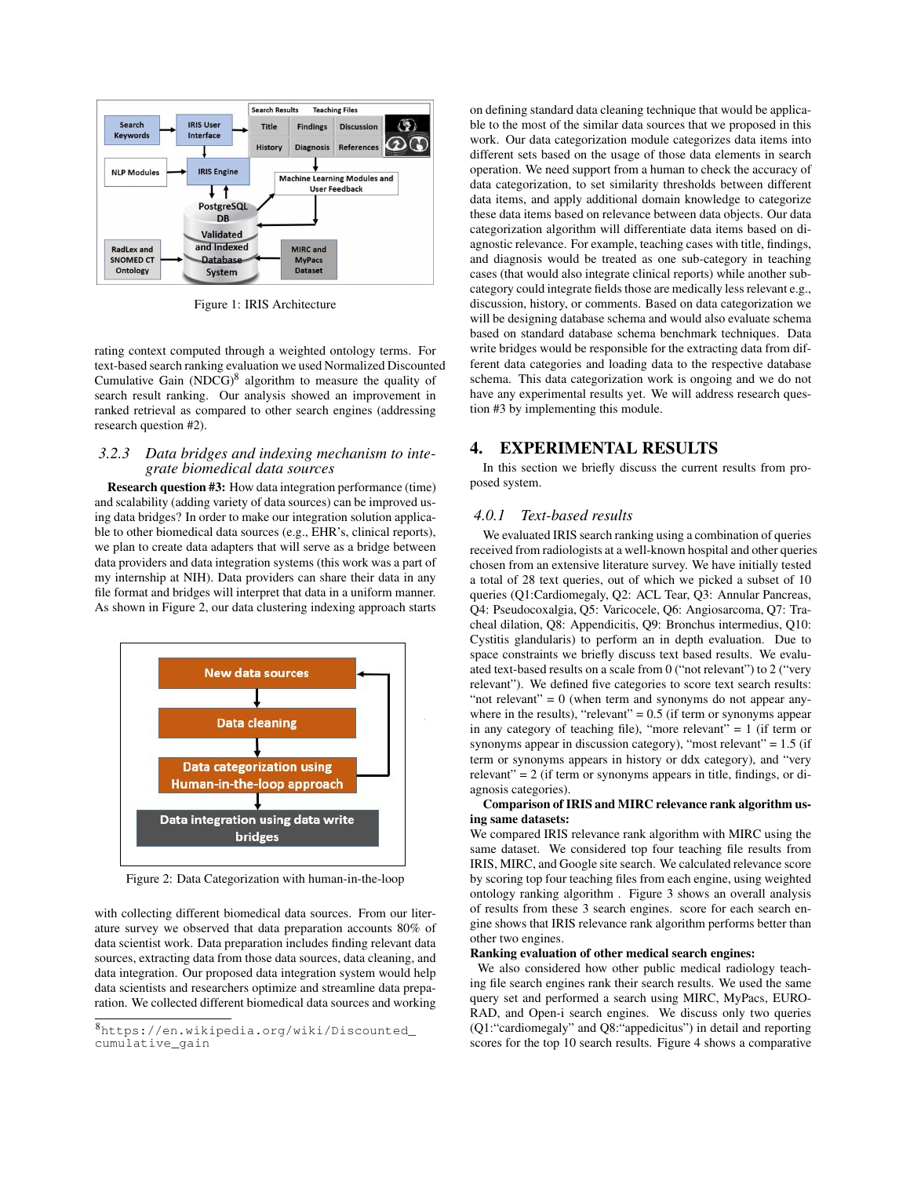

Figure 1: IRIS Architecture

rating context computed through a weighted ontology terms. For text-based search ranking evaluation we used Normalized Discounted Cumulative Gain  $(NDCG)^8$  algorithm to measure the quality of search result ranking. Our analysis showed an improvement in ranked retrieval as compared to other search engines (addressing research question #2).

#### *3.2.3 Data bridges and indexing mechanism to integrate biomedical data sources*

Research question #3: How data integration performance (time) and scalability (adding variety of data sources) can be improved using data bridges? In order to make our integration solution applicable to other biomedical data sources (e.g., EHR's, clinical reports), we plan to create data adapters that will serve as a bridge between data providers and data integration systems (this work was a part of my internship at NIH). Data providers can share their data in any file format and bridges will interpret that data in a uniform manner. As shown in Figure 2, our data clustering indexing approach starts



Figure 2: Data Categorization with human-in-the-loop

with collecting different biomedical data sources. From our literature survey we observed that data preparation accounts 80% of data scientist work. Data preparation includes finding relevant data sources, extracting data from those data sources, data cleaning, and data integration. Our proposed data integration system would help data scientists and researchers optimize and streamline data preparation. We collected different biomedical data sources and working

on defining standard data cleaning technique that would be applicable to the most of the similar data sources that we proposed in this work. Our data categorization module categorizes data items into different sets based on the usage of those data elements in search operation. We need support from a human to check the accuracy of data categorization, to set similarity thresholds between different data items, and apply additional domain knowledge to categorize these data items based on relevance between data objects. Our data categorization algorithm will differentiate data items based on diagnostic relevance. For example, teaching cases with title, findings, and diagnosis would be treated as one sub-category in teaching cases (that would also integrate clinical reports) while another subcategory could integrate fields those are medically less relevant e.g., discussion, history, or comments. Based on data categorization we will be designing database schema and would also evaluate schema based on standard database schema benchmark techniques. Data write bridges would be responsible for the extracting data from different data categories and loading data to the respective database schema. This data categorization work is ongoing and we do not have any experimental results yet. We will address research question #3 by implementing this module.

## 4. EXPERIMENTAL RESULTS

In this section we briefly discuss the current results from proposed system.

## *4.0.1 Text-based results*

We evaluated IRIS search ranking using a combination of queries received from radiologists at a well-known hospital and other queries chosen from an extensive literature survey. We have initially tested a total of 28 text queries, out of which we picked a subset of 10 queries (Q1:Cardiomegaly, Q2: ACL Tear, Q3: Annular Pancreas, Q4: Pseudocoxalgia, Q5: Varicocele, Q6: Angiosarcoma, Q7: Tracheal dilation, Q8: Appendicitis, Q9: Bronchus intermedius, Q10: Cystitis glandularis) to perform an in depth evaluation. Due to space constraints we briefly discuss text based results. We evaluated text-based results on a scale from 0 ("not relevant") to 2 ("very relevant"). We defined five categories to score text search results: "not relevant"  $= 0$  (when term and synonyms do not appear anywhere in the results), "relevant"  $= 0.5$  (if term or synonyms appear in any category of teaching file), "more relevant"  $= 1$  (if term or synonyms appear in discussion category), "most relevant" = 1.5 (if term or synonyms appears in history or ddx category), and "very  $relevant$ " = 2 (if term or synonyms appears in title, findings, or diagnosis categories).

#### Comparison of IRIS and MIRC relevance rank algorithm using same datasets:

We compared IRIS relevance rank algorithm with MIRC using the same dataset. We considered top four teaching file results from IRIS, MIRC, and Google site search. We calculated relevance score by scoring top four teaching files from each engine, using weighted ontology ranking algorithm . Figure 3 shows an overall analysis of results from these 3 search engines. score for each search engine shows that IRIS relevance rank algorithm performs better than other two engines.

#### Ranking evaluation of other medical search engines:

We also considered how other public medical radiology teaching file search engines rank their search results. We used the same query set and performed a search using MIRC, MyPacs, EURO-RAD, and Open-i search engines. We discuss only two queries (Q1:"cardiomegaly" and Q8:"appedicitus") in detail and reporting scores for the top 10 search results. Figure 4 shows a comparative

<sup>8</sup>https://en.wikipedia.org/wiki/Discounted\_ cumulative\_gain